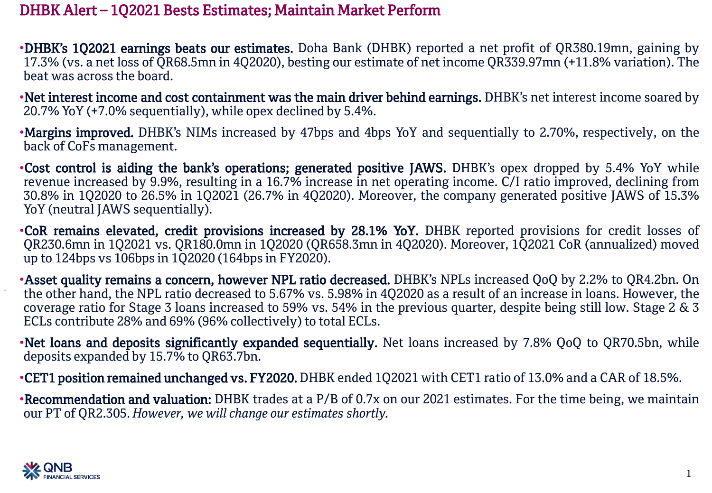## DHBK Alert – 1Q2021 Bests Estimates; Maintain Market Perform

•DHBK's 1Q2021 earnings beats our estimates. Doha Bank (DHBK) reported a net profit of QR380.19mn, gaining by 17.3% (vs. a net loss of QR68.5mn in 4Q2020), besting our estimate of net income QR339.97mn (+11.8% variation). The beat was across the board.

•Net interest income and cost containment was the main driver behind earnings. DHBK's net interest income soared by 20.7% YoY (+7.0% sequentially), while opex declined by 5.4%.

•Margins improved. DHBK's NIMs increased by 47bps and 4bps YoY and sequentially to 2.70%, respectively, on the back of CoFs management.

•Cost control is aiding the bank's operations; generated positive JAWS. DHBK's opex dropped by 5.4% YoY while revenue increased by 9.9%, resulting in a 16.7% increase in net operating income. C/I ratio improved, declining from 30.8% in 1Q2020 to 26.5% in 1Q2021 (26.7% in 4Q2020). Moreover, the company generated positive JAWS of 15.3% YoY (neutral JAWS sequentially).

•CoR remains elevated, credit provisions increased by 28.1% YoY. DHBK reported provisions for credit losses of QR230.6mn in 1Q2021 vs. QR180.0mn in 1Q2020 (QR658.3mn in 4Q2020). Moreover, 1Q2021 CoR (annualized) moved up to 124bps vs 106bps in 1Q2020 (164bps in FY2020).

•Asset quality remains a concern, however NPL ratio decreased. DHBK's NPLs increased QoQ by 2.2% to QR4.2bn. On the other hand, the NPL ratio decreased to 5.67% vs. 5.98% in 4Q2020 as a result of an increase in loans. However, the coverage ratio for Stage 3 loans increased to 59% vs. 54% in the previous quarter, despite being still low. Stage 2 & 3 ECLs contribute 28% and 69% (96% collectively) to total ECLs.

•Net loans and deposits significantly expanded sequentially. Net loans increased by 7.8% QoQ to QR70.5bn, while deposits expanded by 15.7% to QR63.7bn.

•CET1 position remained unchanged vs. FY2020. DHBK ended 1Q2021 with CET1 ratio of 13.0% and a CAR of 18.5%.

•Recommendation and valuation: DHBK trades at a P/B of 0.7x on our 2021 estimates. For the time being, we maintain our PT of QR2.305. *However, we will change our estimates shortly.*